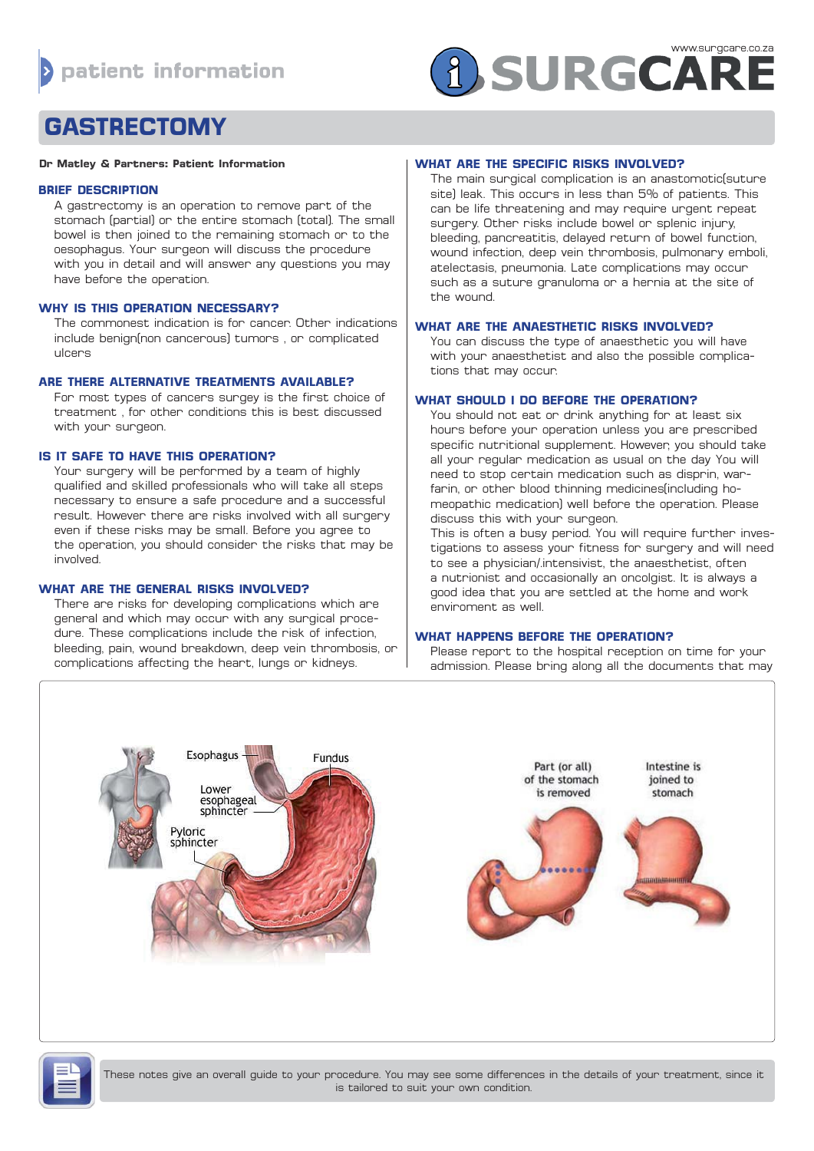# **A SURGCARE**

# **GASTRECTOMY**

#### **Dr Matley & Partners: Patient Information**

## **BRIEF DESCRIPTION**

A gastrectomy is an operation to remove part of the stomach (partial) or the entire stomach (total). The small bowel is then joined to the remaining stomach or to the oesophagus. Your surgeon will discuss the procedure with you in detail and will answer any questions you may have before the operation.

# **WHY IS THIS OPERATION NECESSARY?**

The commonest indication is for cancer. Other indications include benign(non cancerous) tumors , or complicated ulcers

# **ARE THERE ALTERNATIVE TREATMENTS AVAILABLE?**

For most types of cancers surgey is the first choice of treatment , for other conditions this is best discussed with your surgeon.

# **IS IT SAFE TO HAVE THIS OPERATION?**

Your surgery will be performed by a team of highly qualified and skilled professionals who will take all steps necessary to ensure a safe procedure and a successful result. However there are risks involved with all surgery even if these risks may be small. Before you agree to the operation, you should consider the risks that may be involved.

# **WHAT ARE THE GENERAL RISKS INVOLVED?**

There are risks for developing complications which are general and which may occur with any surgical procedure. These complications include the risk of infection, bleeding, pain, wound breakdown, deep vein thrombosis, or complications affecting the heart, lungs or kidneys.

# **WHAT ARE THE SPECIFIC RISKS INVOLVED?**

The main surgical complication is an anastomotic(suture site) leak. This occurs in less than 5% of patients. This can be life threatening and may require urgent repeat surgery. Other risks include bowel or splenic injury, bleeding, pancreatitis, delayed return of bowel function, wound infection, deep vein thrombosis, pulmonary emboli, atelectasis, pneumonia. Late complications may occur such as a suture granuloma or a hernia at the site of the wound.

# **WHAT ARE THE ANAESTHETIC RISKS INVOLVED?**

You can discuss the type of anaesthetic you will have with your anaesthetist and also the possible complications that may occur.

# **WHAT SHOULD I DO BEFORE THE OPERATION?**

You should not eat or drink anything for at least six hours before your operation unless you are prescribed specific nutritional supplement. However, you should take all your regular medication as usual on the day You will need to stop certain medication such as disprin, warfarin, or other blood thinning medicines(including homeopathic medication) well before the operation. Please discuss this with your surgeon.

This is often a busy period. You will require further investigations to assess your fitness for surgery and will need to see a physician/.intensivist, the anaesthetist, often a nutrionist and occasionally an oncolgist. It is always a good idea that you are settled at the home and work enviroment as well.

# **WHAT HAPPENS BEFORE THE OPERATION?**

Please report to the hospital reception on time for your admission. Please bring along all the documents that may